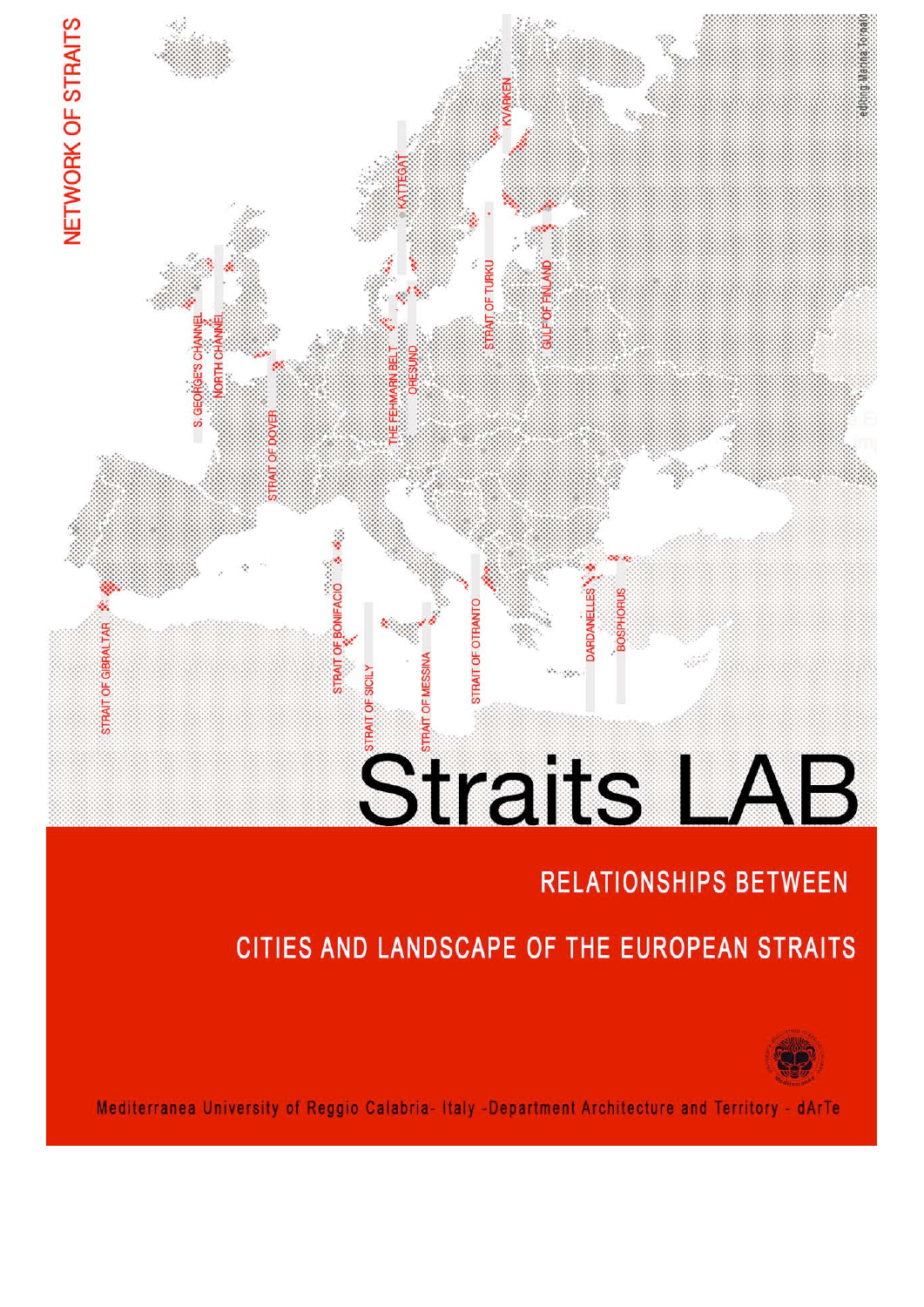# Straits LAB

## **RELATIONSHIPS BETWEEN**

## CITIES AND LANDSCAPE OF THE EUROPEAN STRAITS



Mediterranea University of Reggio Calabria- Italy -Department Architecture and Territory - dArTe

**STRAIT OF OTRANT** 

OF BONIFACIO

NETWORK OF STRAITS

STRAIT OF GIBRALTA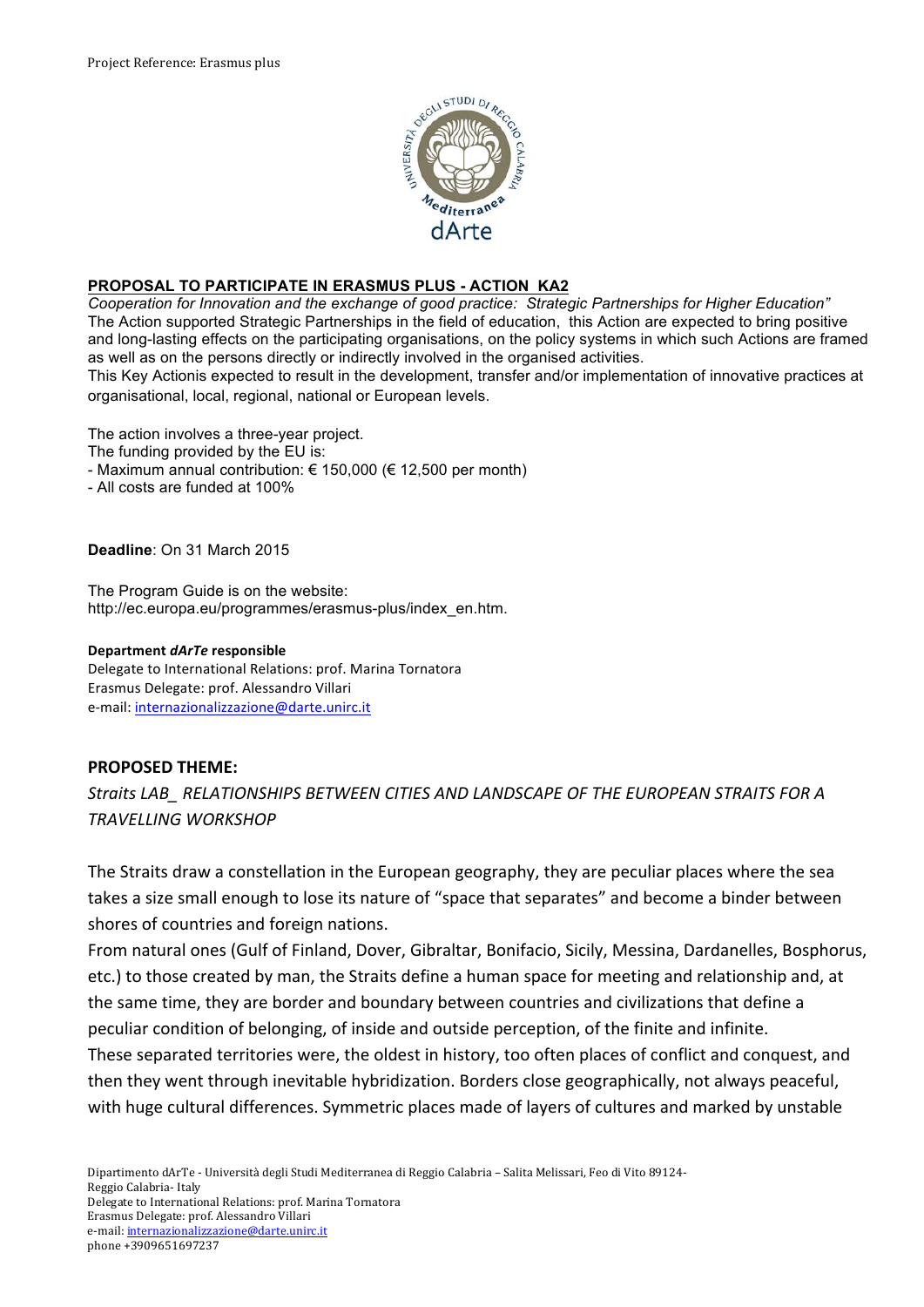

### **PROPOSAL TO PARTICIPATE IN ERASMUS PLUS - ACTION KA2**

*Cooperation for Innovation and the exchange of good practice: Strategic Partnerships for Higher Education"* The Action supported Strategic Partnerships in the field of education, this Action are expected to bring positive and long-lasting effects on the participating organisations, on the policy systems in which such Actions are framed as well as on the persons directly or indirectly involved in the organised activities.

This Key Actionis expected to result in the development, transfer and/or implementation of innovative practices at organisational, local, regional, national or European levels.

The action involves a three-year project.

The funding provided by the EU is:

- Maximum annual contribution:  $\epsilon$  150,000 ( $\epsilon$  12,500 per month)
- All costs are funded at 100%

**Deadline**: On 31 March 2015

The Program Guide is on the website: http://ec.europa.eu/programmes/erasmus-plus/index\_en.htm.

#### **Department** *dArTe!***responsible**

Delegate to International Relations: prof. Marina Tornatora Erasmus Delegate: prof. Alessandro Villari e-mail: internazionalizzazione@darte.unirc.it

#### **PROPOSED THEME:**

*Straits'LAB\_'RELATIONSHIPS'BETWEEN'CITIES'AND'LANDSCAPE'OF'THE'EUROPEAN'STRAITS FOR'A' TRAVELLING'WORKSHOP*

The Straits draw a constellation in the European geography, they are peculiar places where the sea takes a size small enough to lose its nature of "space that separates" and become a binder between shores of countries and foreign nations.

From natural ones (Gulf of Finland, Dover, Gibraltar, Bonifacio, Sicily, Messina, Dardanelles, Bosphorus, etc.) to those created by man, the Straits define a human space for meeting and relationship and, at the same time, they are border and boundary between countries and civilizations that define a peculiar condition of belonging, of inside and outside perception, of the finite and infinite.

These separated territories were, the oldest in history, too often places of conflict and conquest, and then they went through inevitable hybridization. Borders close geographically, not always peaceful, with huge cultural differences. Symmetric places made of layers of cultures and marked by unstable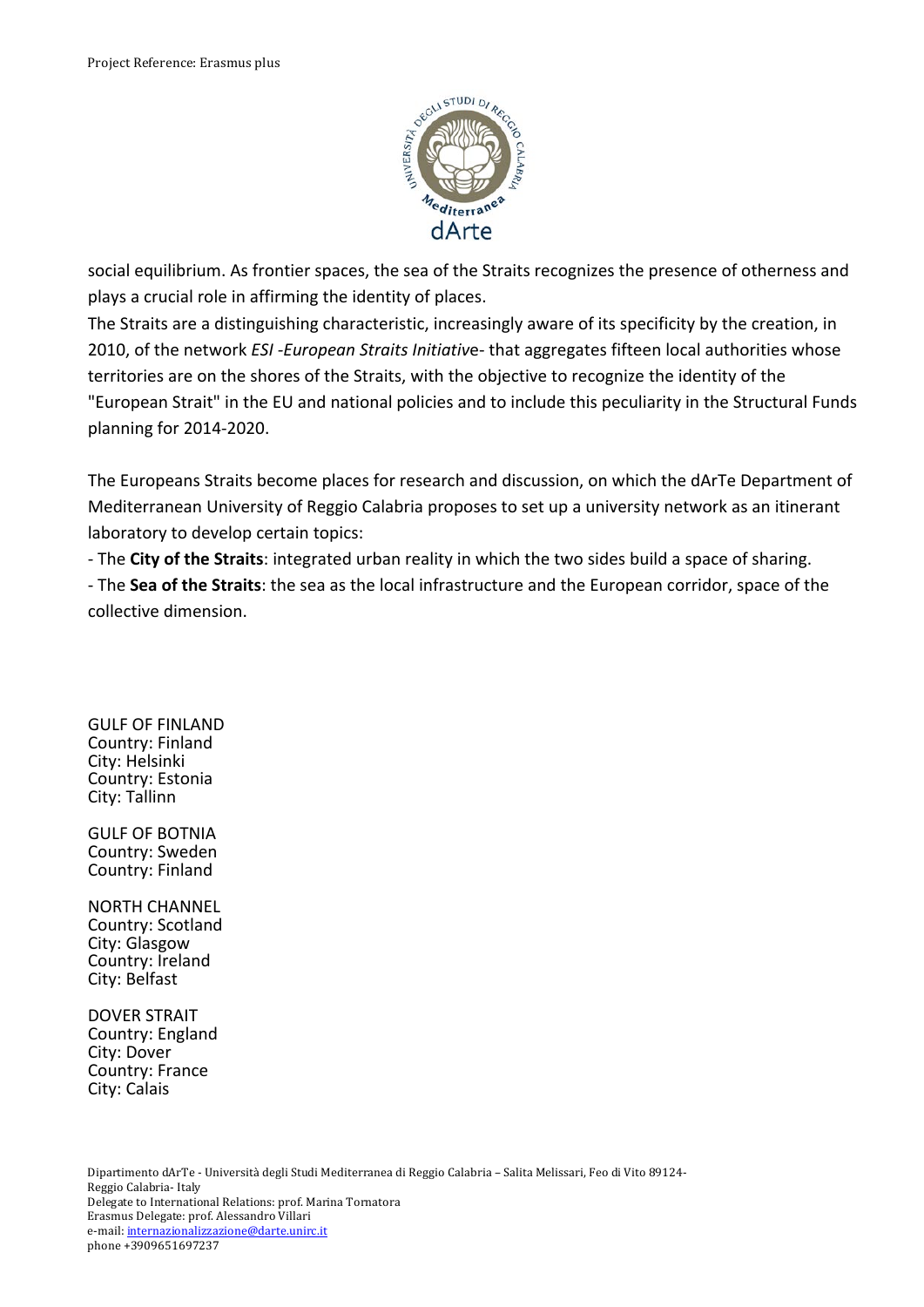

social equilibrium. As frontier spaces, the sea of the Straits recognizes the presence of otherness and plays a crucial role in affirming the identity of places.

The Straits are a distinguishing characteristic, increasingly aware of its specificity by the creation, in 2010, of the network *ESI-European Straits Initiative*-that aggregates fifteen local authorities whose territories are on the shores of the Straits, with the objective to recognize the identity of the "European Strait" in the EU and national policies and to include this peculiarity in the Structural Funds planning for 2014-2020.

The Europeans Straits become places for research and discussion, on which the dArTe Department of Mediterranean University of Reggio Calabria proposes to set up a university network as an itinerant laboratory to develop certain topics:

- The City of the Straits: integrated urban reality in which the two sides build a space of sharing.

- The Sea of the Straits: the sea as the local infrastructure and the European corridor, space of the collective dimension.

**GULF OF FINLAND** Country: Finland City: Helsinki Country: Estonia City: Tallinn

GULF OF BOTNIA Country: Sweden Country: Finland

NORTH CHANNEL Country: Scotland City: Glasgow Country: Ireland City: Belfast

DOVER STRAIT Country: England City: Dover Country: France City: Calais

Dipartimento dArTe - Università degli Studi Mediterranea di Reggio Calabria - Salita Melissari, Feo di Vito 89124-Reggio Calabria- Italy Delegate to International Relations: prof. Marina Tornatora Erasmus Delegate: prof. Alessandro Villari e-mail: internazionalizzazione@darte.unirc.it phone +3909651697237